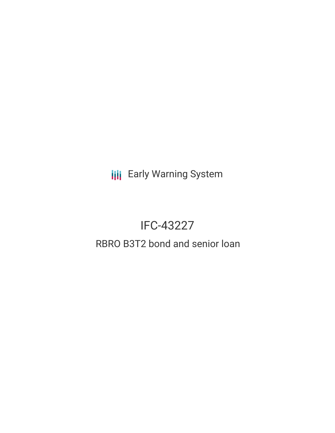**III** Early Warning System

# IFC-43227

# RBRO B3T2 bond and senior loan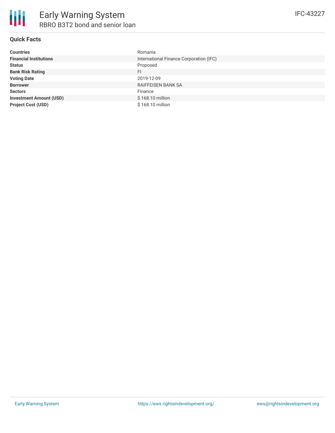

## **Quick Facts**

| <b>Countries</b>               | Romania                                 |
|--------------------------------|-----------------------------------------|
| <b>Financial Institutions</b>  | International Finance Corporation (IFC) |
| <b>Status</b>                  | Proposed                                |
| <b>Bank Risk Rating</b>        | FI.                                     |
| <b>Voting Date</b>             | 2019-12-09                              |
| <b>Borrower</b>                | <b>RAIFFEISEN BANK SA</b>               |
| <b>Sectors</b>                 | Finance                                 |
| <b>Investment Amount (USD)</b> | \$168.10 million                        |
| <b>Project Cost (USD)</b>      | \$168.10 million                        |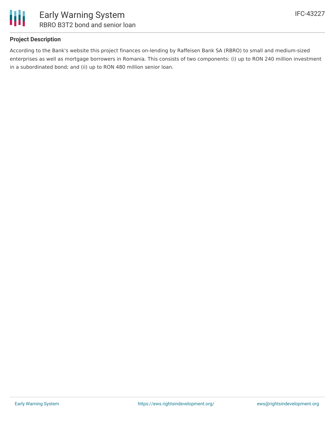

## **Project Description**

According to the Bank's website this project finances on-lending by Raffeisen Bank SA (RBRO) to small and medium-sized enterprises as well as mortgage borrowers in Romania. This consists of two components: (i) up to RON 240 million investment in a subordinated bond; and (ii) up to RON 480 million senior loan.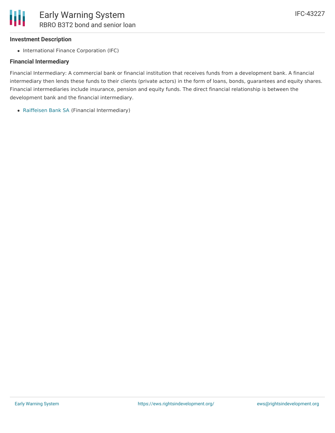#### **Investment Description**

• International Finance Corporation (IFC)

#### **Financial Intermediary**

Financial Intermediary: A commercial bank or financial institution that receives funds from a development bank. A financial intermediary then lends these funds to their clients (private actors) in the form of loans, bonds, guarantees and equity shares. Financial intermediaries include insurance, pension and equity funds. The direct financial relationship is between the development bank and the financial intermediary.

[Raiffeisen](file:///actor/2795/) Bank SA (Financial Intermediary)